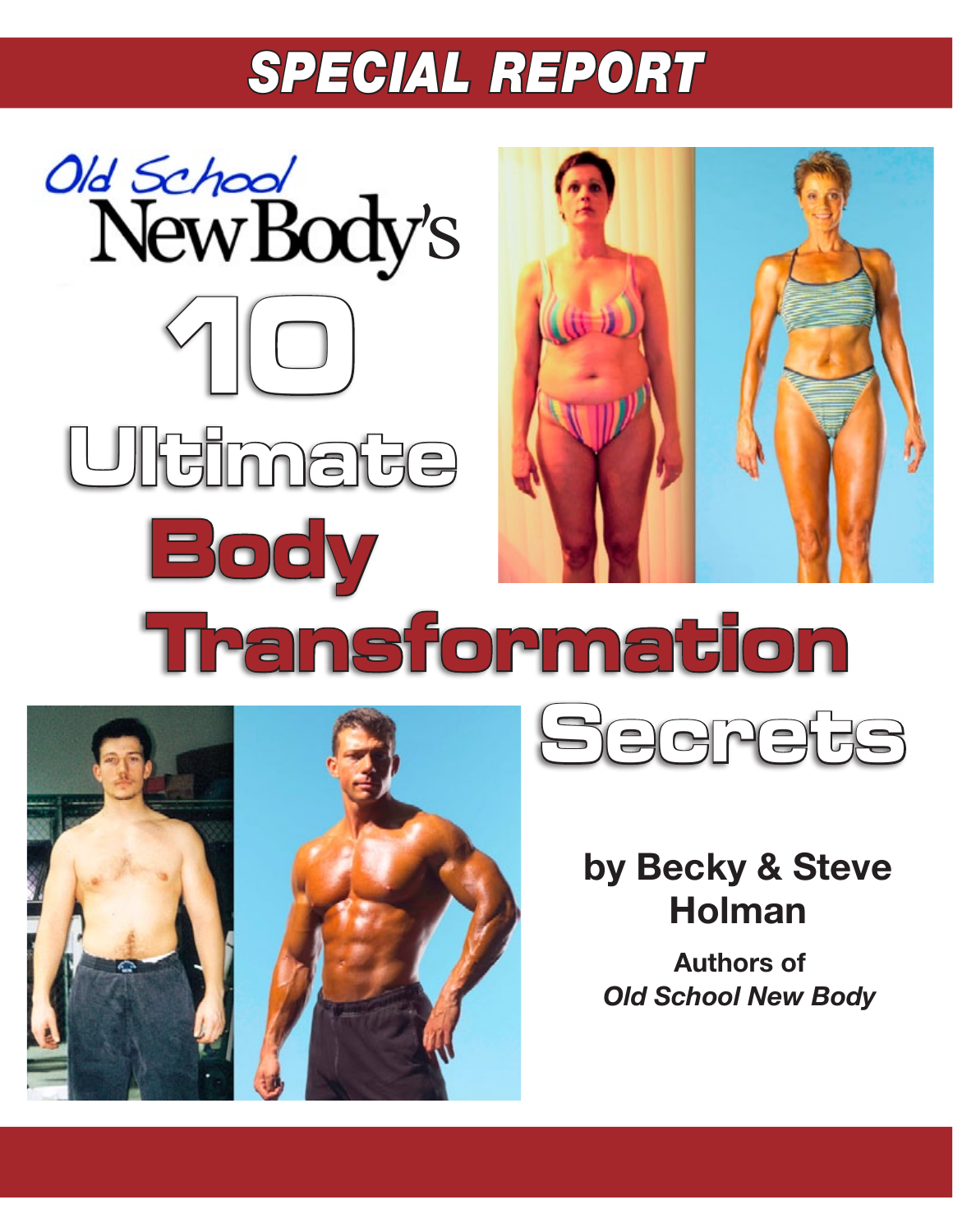# *SPECIAL REPORT*





# **by Becky & Steve Holman**

**Authors of**  *Old School New Body*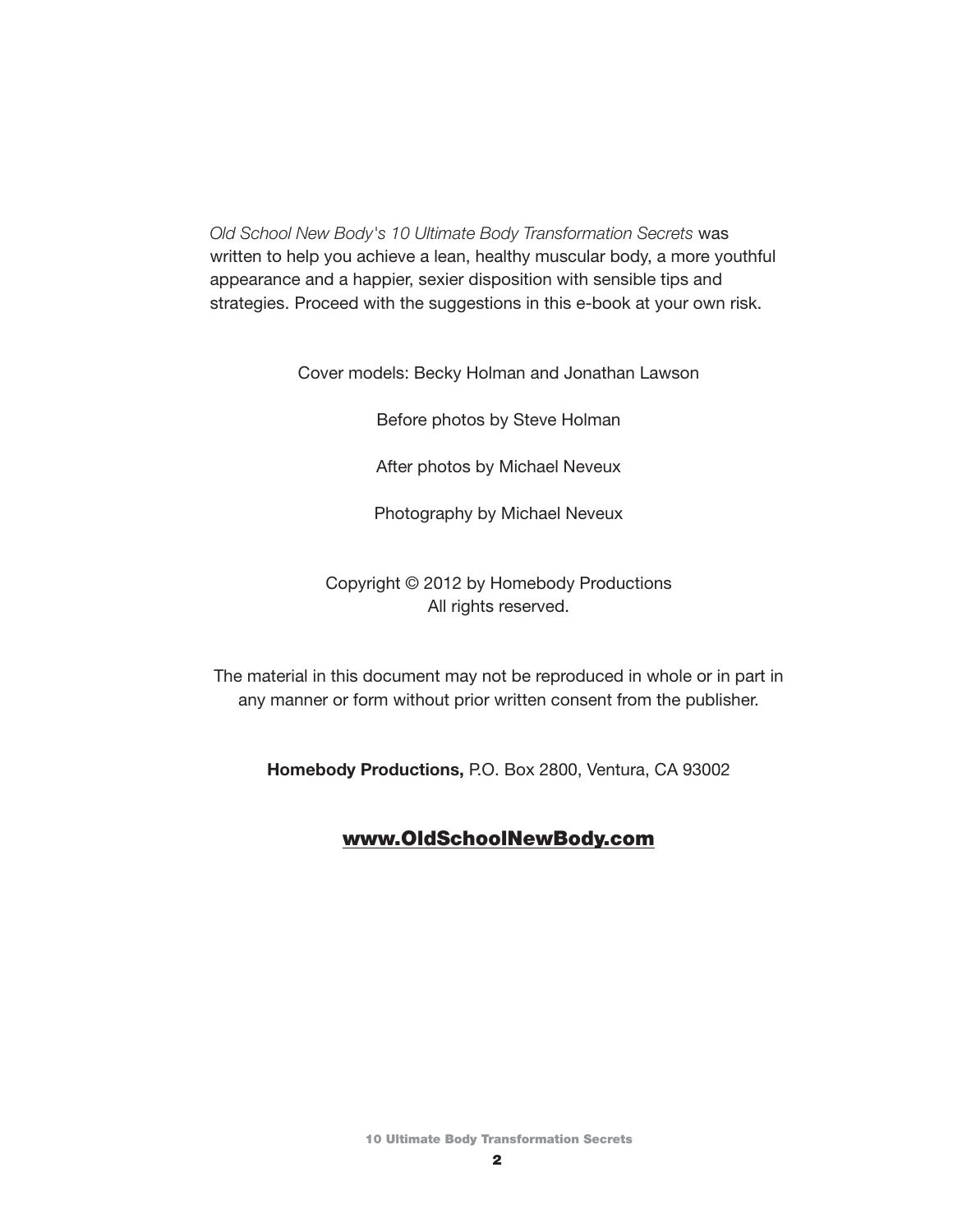*Old School New Body's 10 Ultimate Body Transformation Secrets* was written to help you achieve a lean, healthy muscular body, a more youthful appearance and a happier, sexier disposition with sensible tips and strategies. Proceed with the suggestions in this e-book at your own risk.

Cover models: Becky Holman and Jonathan Lawson

Before photos by Steve Holman

After photos by Michael Neveux

Photography by Michael Neveux

Copyright © 2012 by Homebody Productions All rights reserved.

The material in this document may not be reproduced in whole or in part in any manner or form without prior written consent from the publisher.

**Homebody Productions,** P.O. Box 2800, Ventura, CA 93002

#### [www.OldSchoolNewBody.com](http://intop2q.osnb12.hop.clickbank.net/)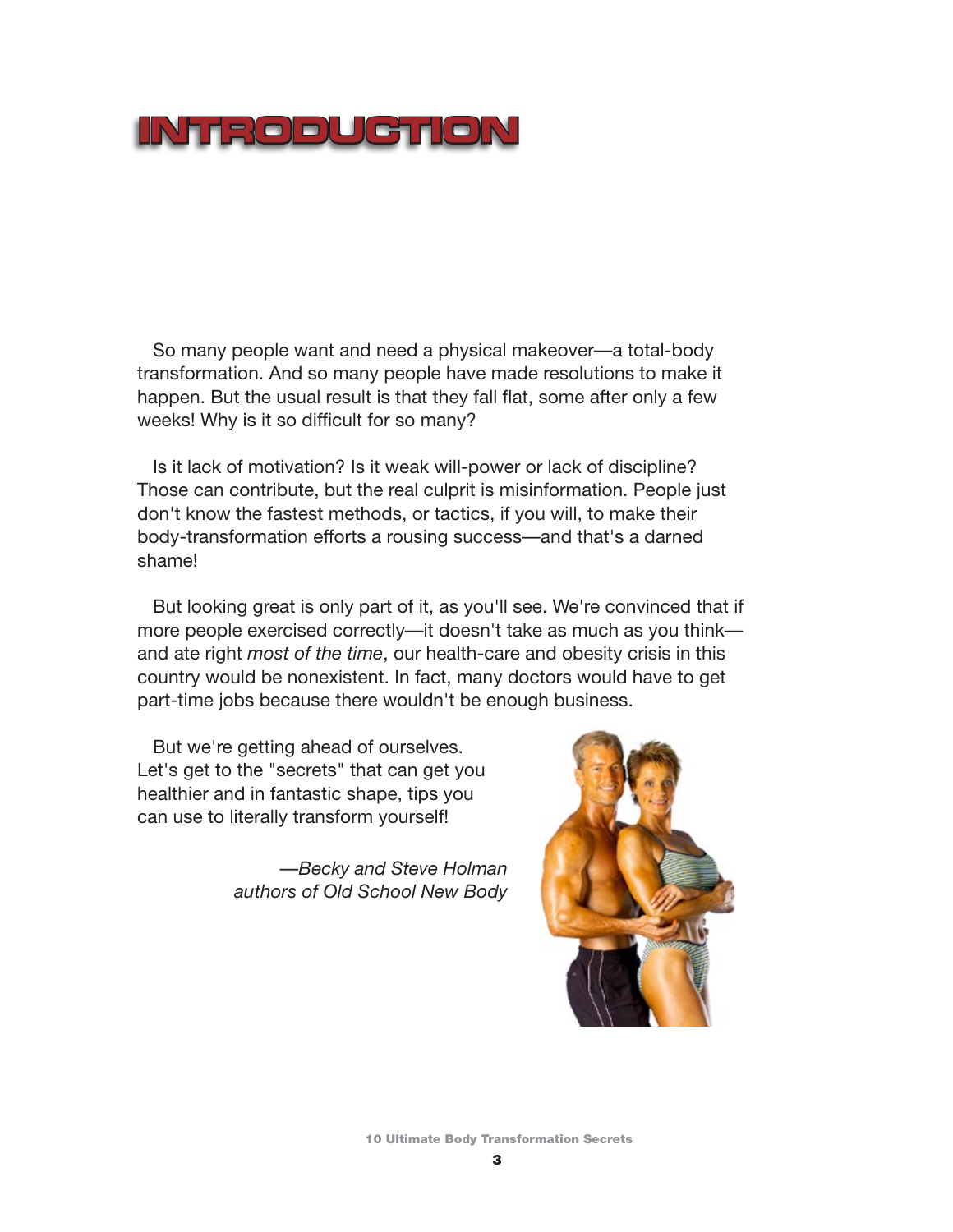### **INTRODUCTION**

So many people want and need a physical makeover—a total-body transformation. And so many people have made resolutions to make it happen. But the usual result is that they fall flat, some after only a few weeks! Why is it so difficult for so many?

Is it lack of motivation? Is it weak will-power or lack of discipline? Those can contribute, but the real culprit is misinformation. People just don't know the fastest methods, or tactics, if you will, to make their body-transformation efforts a rousing success—and that's a darned shame!

But looking great is only part of it, as you'll see. We're convinced that if more people exercised correctly—it doesn't take as much as you think and ate right *most of the time*, our health-care and obesity crisis in this country would be nonexistent. In fact, many doctors would have to get part-time jobs because there wouldn't be enough business.

But we're getting ahead of ourselves. Let's get to the "secrets" that can get you healthier and in fantastic shape, tips you can use to literally transform yourself!

> *—Becky and Steve Holman authors of Old School New Body*



10 Ultimate Body Transformation Secrets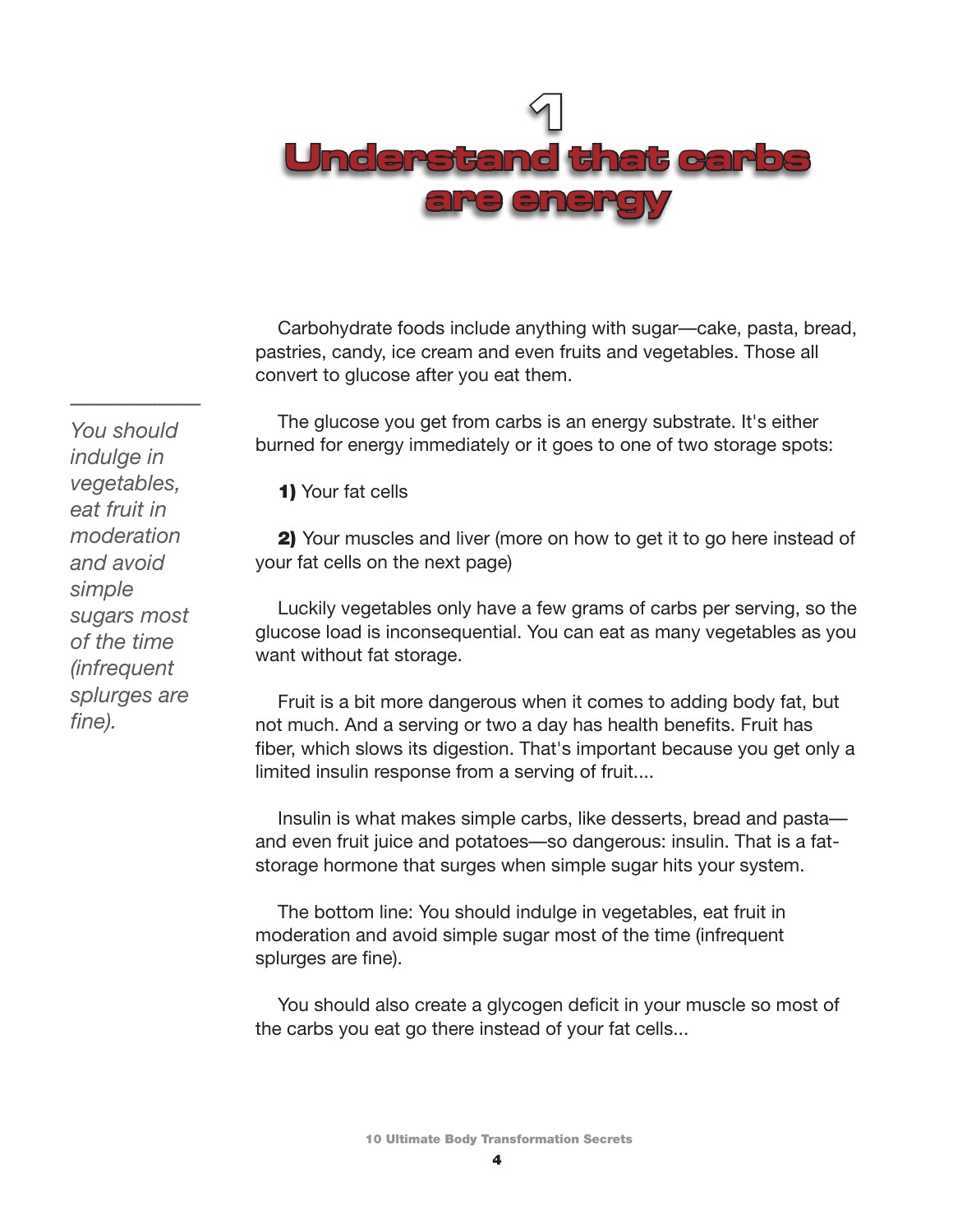

Carbohydrate foods include anything with sugar—cake, pasta, bread, pastries, candy, ice cream and even fruits and vegetables. Those all convert to glucose after you eat them.

The glucose you get from carbs is an energy substrate. It's either burned for energy immediately or it goes to one of two storage spots:

1) Your fat cells

2) Your muscles and liver (more on how to get it to go here instead of your fat cells on the next page)

Luckily vegetables only have a few grams of carbs per serving, so the glucose load is inconsequential. You can eat as many vegetables as you want without fat storage.

Fruit is a bit more dangerous when it comes to adding body fat, but not much. And a serving or two a day has health benefits. Fruit has fiber, which slows its digestion. That's important because you get only a limited insulin response from a serving of fruit....

Insulin is what makes simple carbs, like desserts, bread and pasta and even fruit juice and potatoes—so dangerous: insulin. That is a fatstorage hormone that surges when simple sugar hits your system.

The bottom line: You should indulge in vegetables, eat fruit in moderation and avoid simple sugar most of the time (infrequent splurges are fine).

You should also create a glycogen deficit in your muscle so most of the carbs you eat go there instead of your fat cells...

*—————— You should indulge in vegetables, eat fruit in moderation and avoid simple sugars most of the time (infrequent splurges are fine).*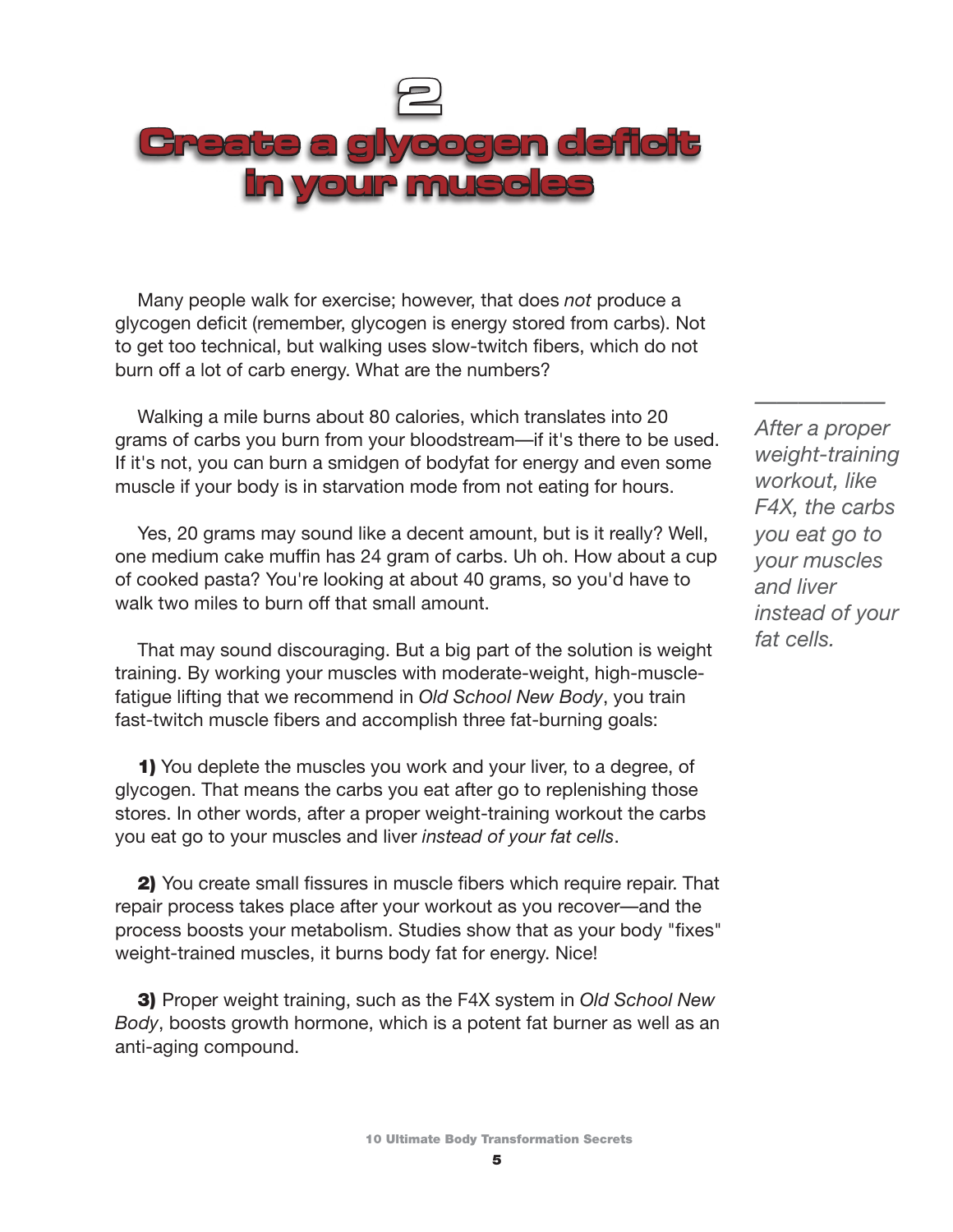

Many people walk for exercise; however, that does *not* produce a glycogen deficit (remember, glycogen is energy stored from carbs). Not to get too technical, but walking uses slow-twitch fibers, which do not burn off a lot of carb energy. What are the numbers?

Walking a mile burns about 80 calories, which translates into 20 grams of carbs you burn from your bloodstream—if it's there to be used. If it's not, you can burn a smidgen of bodyfat for energy and even some muscle if your body is in starvation mode from not eating for hours.

Yes, 20 grams may sound like a decent amount, but is it really? Well, one medium cake muffin has 24 gram of carbs. Uh oh. How about a cup of cooked pasta? You're looking at about 40 grams, so you'd have to walk two miles to burn off that small amount.

That may sound discouraging. But a big part of the solution is weight training. By working your muscles with moderate-weight, high-musclefatigue lifting that we recommend in *Old School New Body*, you train fast-twitch muscle fibers and accomplish three fat-burning goals:

1) You deplete the muscles you work and your liver, to a degree, of glycogen. That means the carbs you eat after go to replenishing those stores. In other words, after a proper weight-training workout the carbs you eat go to your muscles and liver *instead of your fat cells*.

2) You create small fissures in muscle fibers which require repair. That repair process takes place after your workout as you recover—and the process boosts your metabolism. Studies show that as your body "fixes" weight-trained muscles, it burns body fat for energy. Nice!

3) Proper weight training, such as the F4X system in *Old School New Body*, boosts growth hormone, which is a potent fat burner as well as an anti-aging compound.

*After a proper weight-training workout, like F4X, the carbs you eat go to your muscles and liver instead of your fat cells.*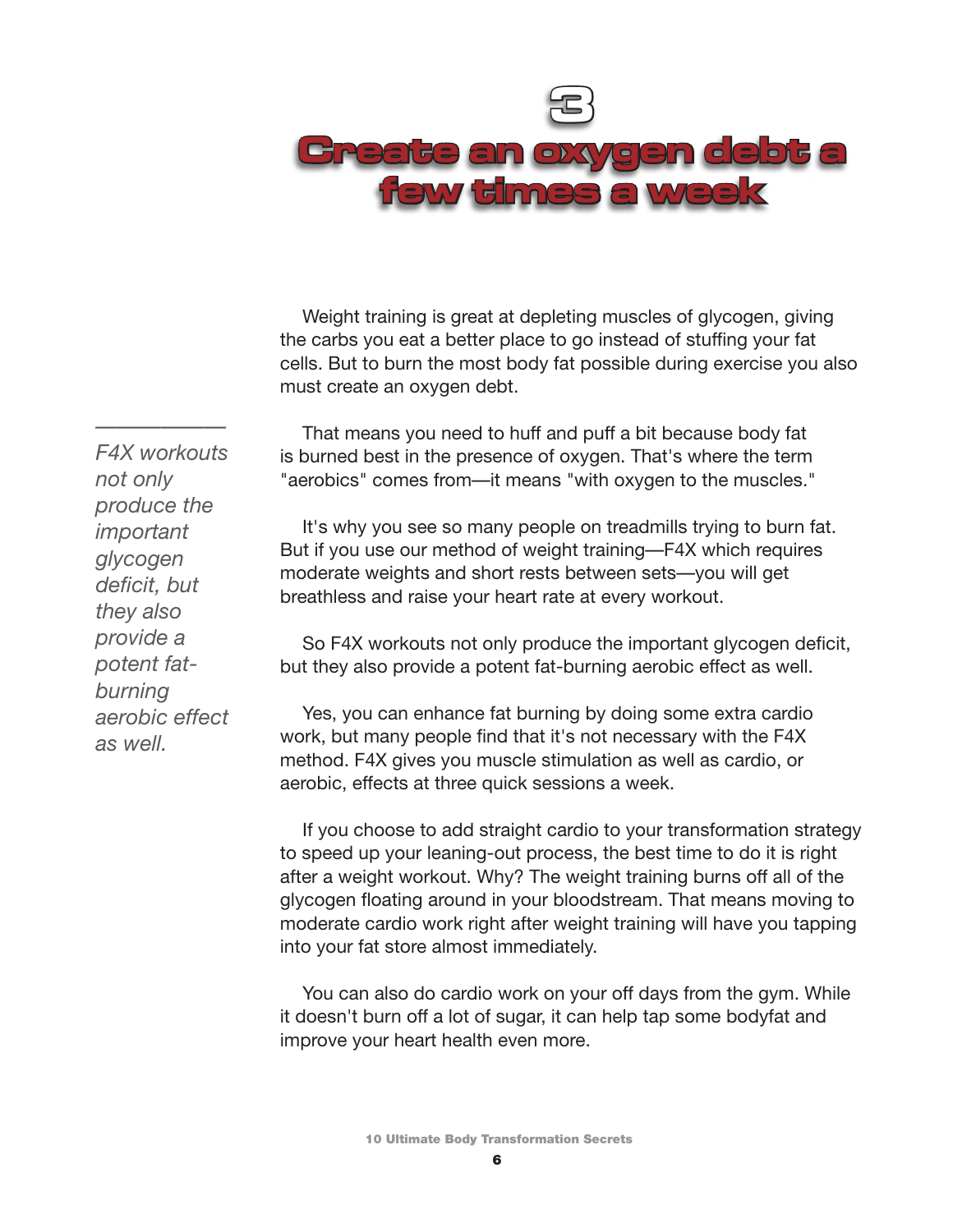

Weight training is great at depleting muscles of glycogen, giving the carbs you eat a better place to go instead of stuffing your fat cells. But to burn the most body fat possible during exercise you also must create an oxygen debt.

That means you need to huff and puff a bit because body fat is burned best in the presence of oxygen. That's where the term "aerobics" comes from—it means "with oxygen to the muscles."

It's why you see so many people on treadmills trying to burn fat. But if you use our method of weight training—F4X which requires moderate weights and short rests between sets—you will get breathless and raise your heart rate at every workout.

So F4X workouts not only produce the important glycogen deficit, but they also provide a potent fat-burning aerobic effect as well.

Yes, you can enhance fat burning by doing some extra cardio work, but many people find that it's not necessary with the F4X method. F4X gives you muscle stimulation as well as cardio, or aerobic, effects at three quick sessions a week.

If you choose to add straight cardio to your transformation strategy to speed up your leaning-out process, the best time to do it is right after a weight workout. Why? The weight training burns off all of the glycogen floating around in your bloodstream. That means moving to moderate cardio work right after weight training will have you tapping into your fat store almost immediately.

You can also do cardio work on your off days from the gym. While it doesn't burn off a lot of sugar, it can help tap some bodyfat and improve your heart health even more.

*—————— F4X workouts not only produce the important glycogen deficit, but they also provide a potent fatburning aerobic effect as well.*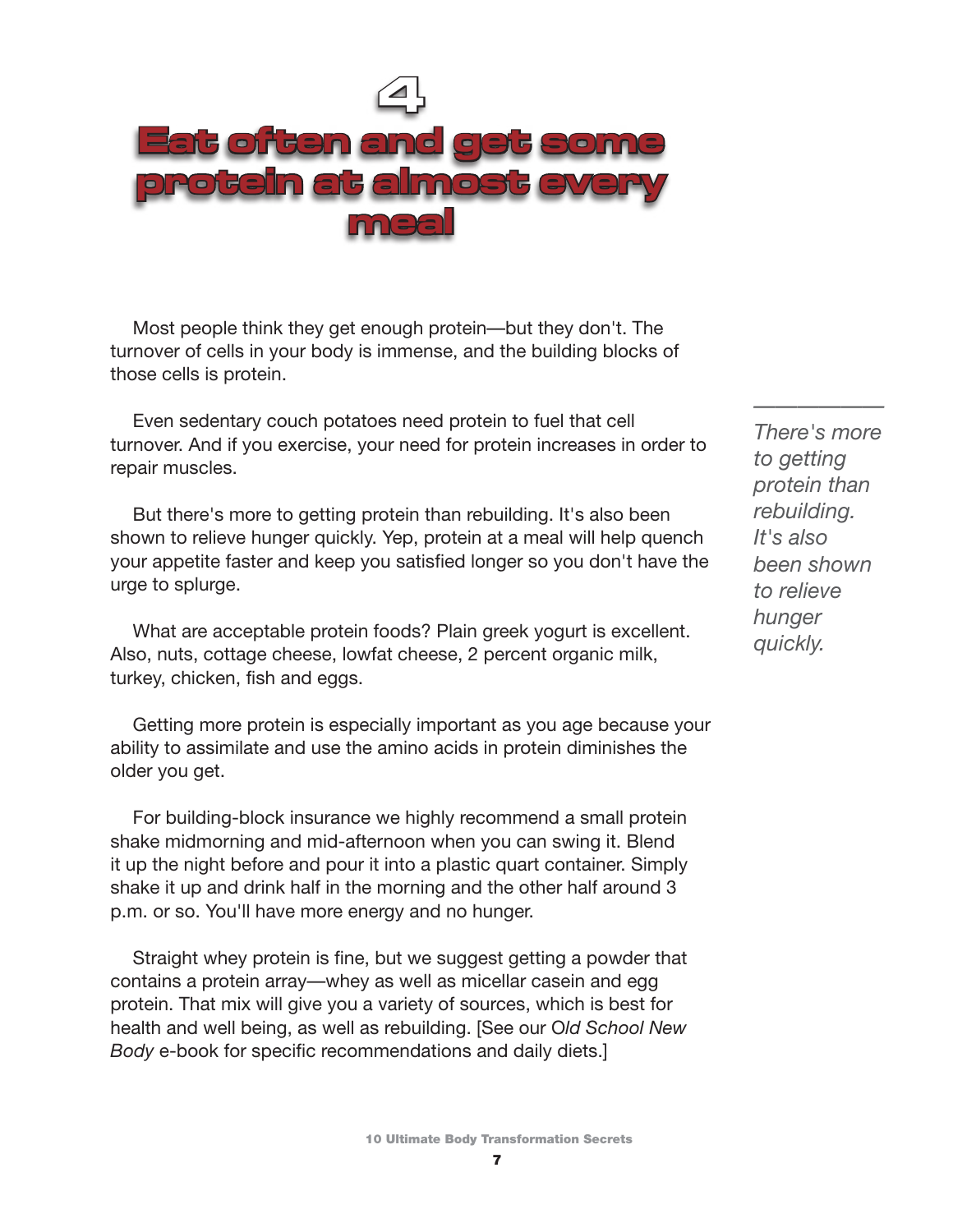

Most people think they get enough protein—but they don't. The turnover of cells in your body is immense, and the building blocks of those cells is protein.

Even sedentary couch potatoes need protein to fuel that cell turnover. And if you exercise, your need for protein increases in order to repair muscles.

But there's more to getting protein than rebuilding. It's also been shown to relieve hunger quickly. Yep, protein at a meal will help quench your appetite faster and keep you satisfied longer so you don't have the urge to splurge.

What are acceptable protein foods? Plain greek yogurt is excellent. Also, nuts, cottage cheese, lowfat cheese, 2 percent organic milk, turkey, chicken, fish and eggs.

Getting more protein is especially important as you age because your ability to assimilate and use the amino acids in protein diminishes the older you get.

For building-block insurance we highly recommend a small protein shake midmorning and mid-afternoon when you can swing it. Blend it up the night before and pour it into a plastic quart container. Simply shake it up and drink half in the morning and the other half around 3 p.m. or so. You'll have more energy and no hunger.

Straight whey protein is fine, but we suggest getting a powder that contains a protein array—whey as well as micellar casein and egg protein. That mix will give you a variety of sources, which is best for health and well being, as well as rebuilding. [See our O*ld School New Body* e-book for specific recommendations and daily diets.]

*There's more to getting protein than rebuilding. It's also been shown to relieve hunger quickly.*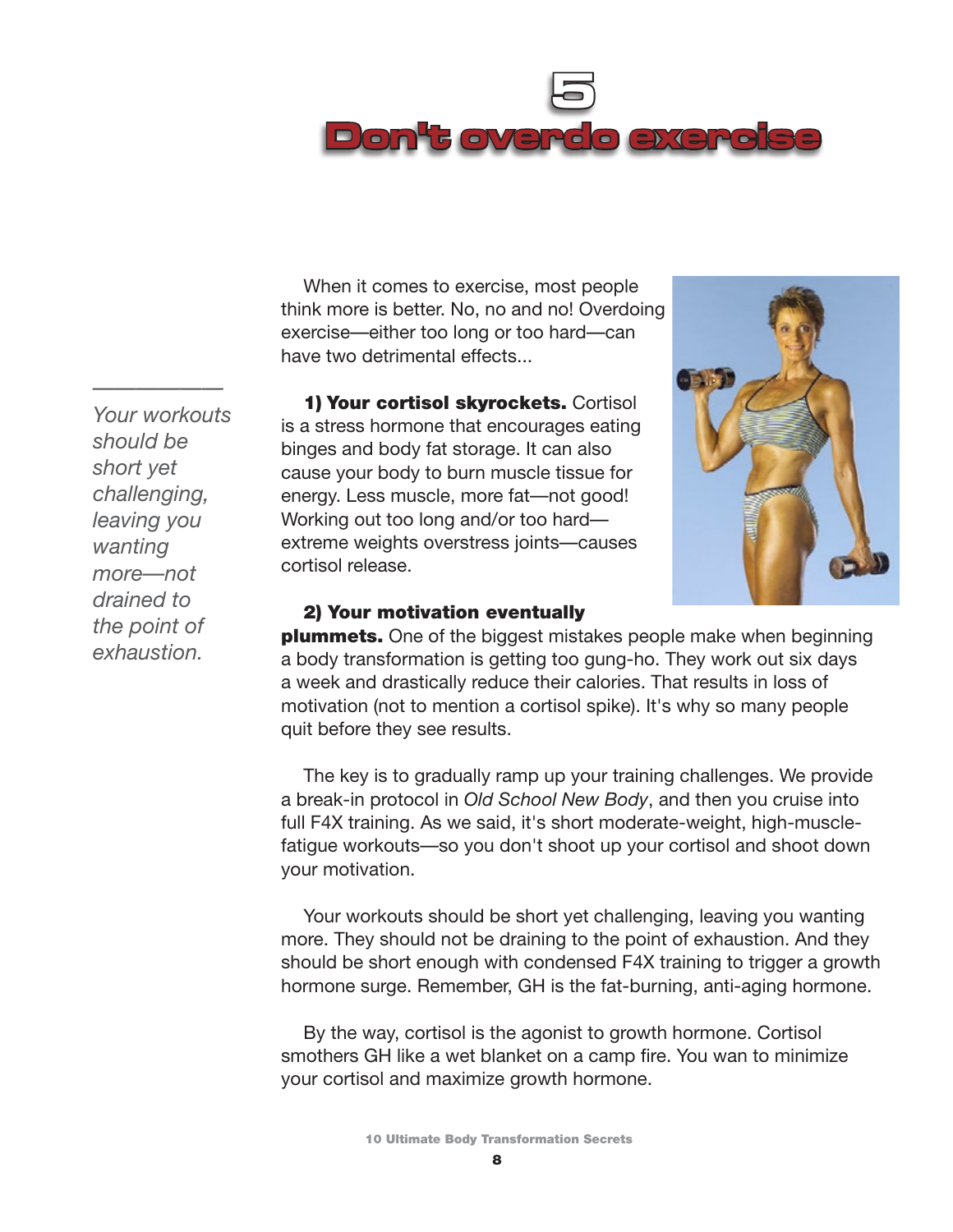

When it comes to exercise, most people think more is better. No, no and no! Overdoing exercise—either too long or too hard—can have two detrimental effects...

1) Your cortisol skyrockets. Cortisol is a stress hormone that encourages eating binges and body fat storage. It can also cause your body to burn muscle tissue for energy. Less muscle, more fat—not good! Working out too long and/or too hard extreme weights overstress joints—causes cortisol release.



#### 2) Your motivation eventually

**plummets.** One of the biggest mistakes people make when beginning a body transformation is getting too gung-ho. They work out six days a week and drastically reduce their calories. That results in loss of motivation (not to mention a cortisol spike). It's why so many people quit before they see results.

The key is to gradually ramp up your training challenges. We provide a break-in protocol in *Old School New Body*, and then you cruise into full F4X training. As we said, it's short moderate-weight, high-musclefatigue workouts—so you don't shoot up your cortisol and shoot down your motivation.

Your workouts should be short yet challenging, leaving you wanting more. They should not be draining to the point of exhaustion. And they should be short enough with condensed F4X training to trigger a growth hormone surge. Remember, GH is the fat-burning, anti-aging hormone.

By the way, cortisol is the agonist to growth hormone. Cortisol smothers GH like a wet blanket on a camp fire. You wan to minimize your cortisol and maximize growth hormone.

*Your workouts should be short yet challenging, leaving you wanting more—not drained to the point of exhaustion.*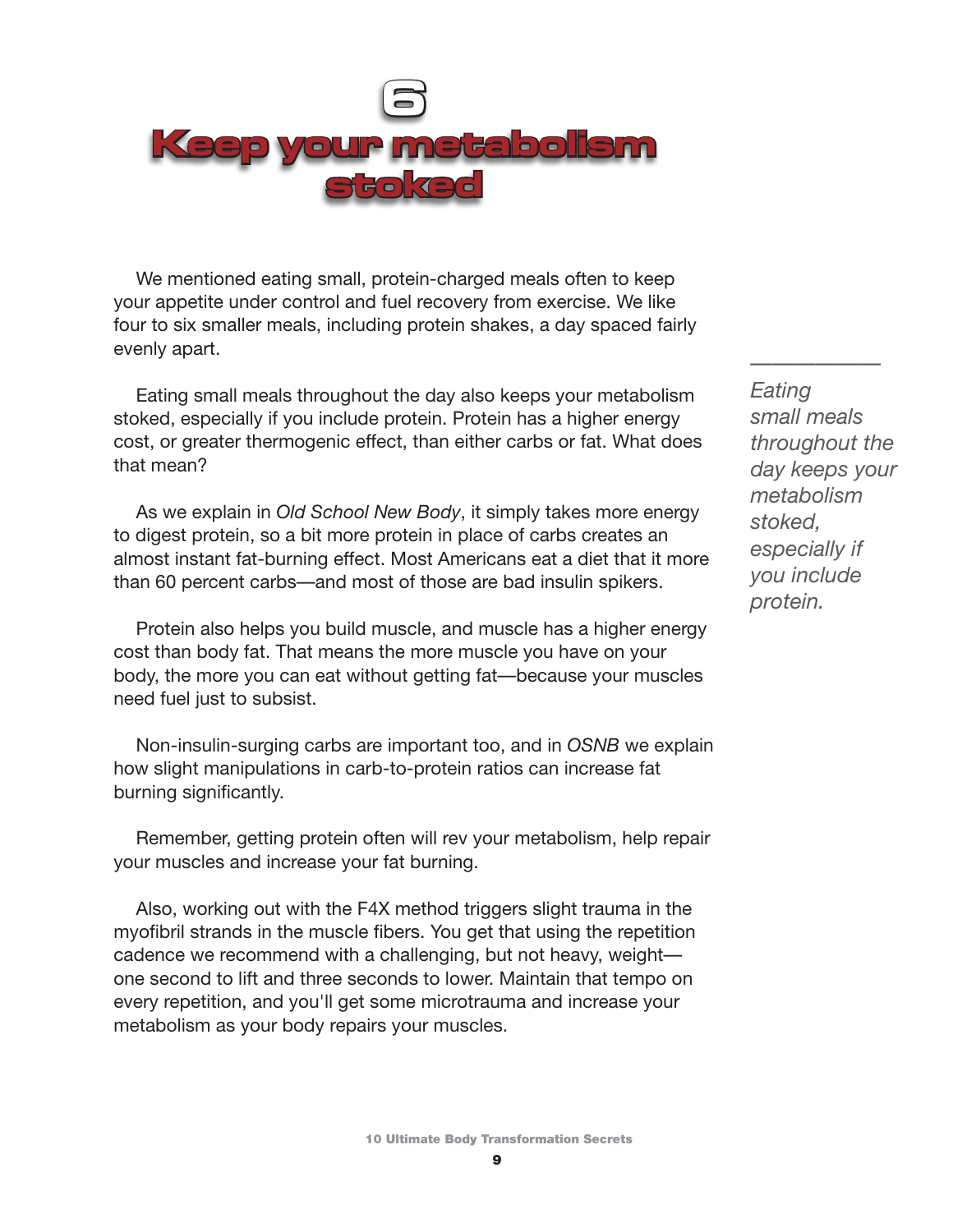

We mentioned eating small, protein-charged meals often to keep your appetite under control and fuel recovery from exercise. We like four to six smaller meals, including protein shakes, a day spaced fairly evenly apart.

Eating small meals throughout the day also keeps your metabolism stoked, especially if you include protein. Protein has a higher energy cost, or greater thermogenic effect, than either carbs or fat. What does that mean?

As we explain in *Old School New Body*, it simply takes more energy to digest protein, so a bit more protein in place of carbs creates an almost instant fat-burning effect. Most Americans eat a diet that it more than 60 percent carbs—and most of those are bad insulin spikers.

Protein also helps you build muscle, and muscle has a higher energy cost than body fat. That means the more muscle you have on your body, the more you can eat without getting fat—because your muscles need fuel just to subsist.

Non-insulin-surging carbs are important too, and in *OSNB* we explain how slight manipulations in carb-to-protein ratios can increase fat burning significantly.

Remember, getting protein often will rev your metabolism, help repair your muscles and increase your fat burning.

Also, working out with the F4X method triggers slight trauma in the myofibril strands in the muscle fibers. You get that using the repetition cadence we recommend with a challenging, but not heavy, weight one second to lift and three seconds to lower. Maintain that tempo on every repetition, and you'll get some microtrauma and increase your metabolism as your body repairs your muscles.

*—————— Eating small meals throughout the day keeps your metabolism stoked, especially if you include protein.*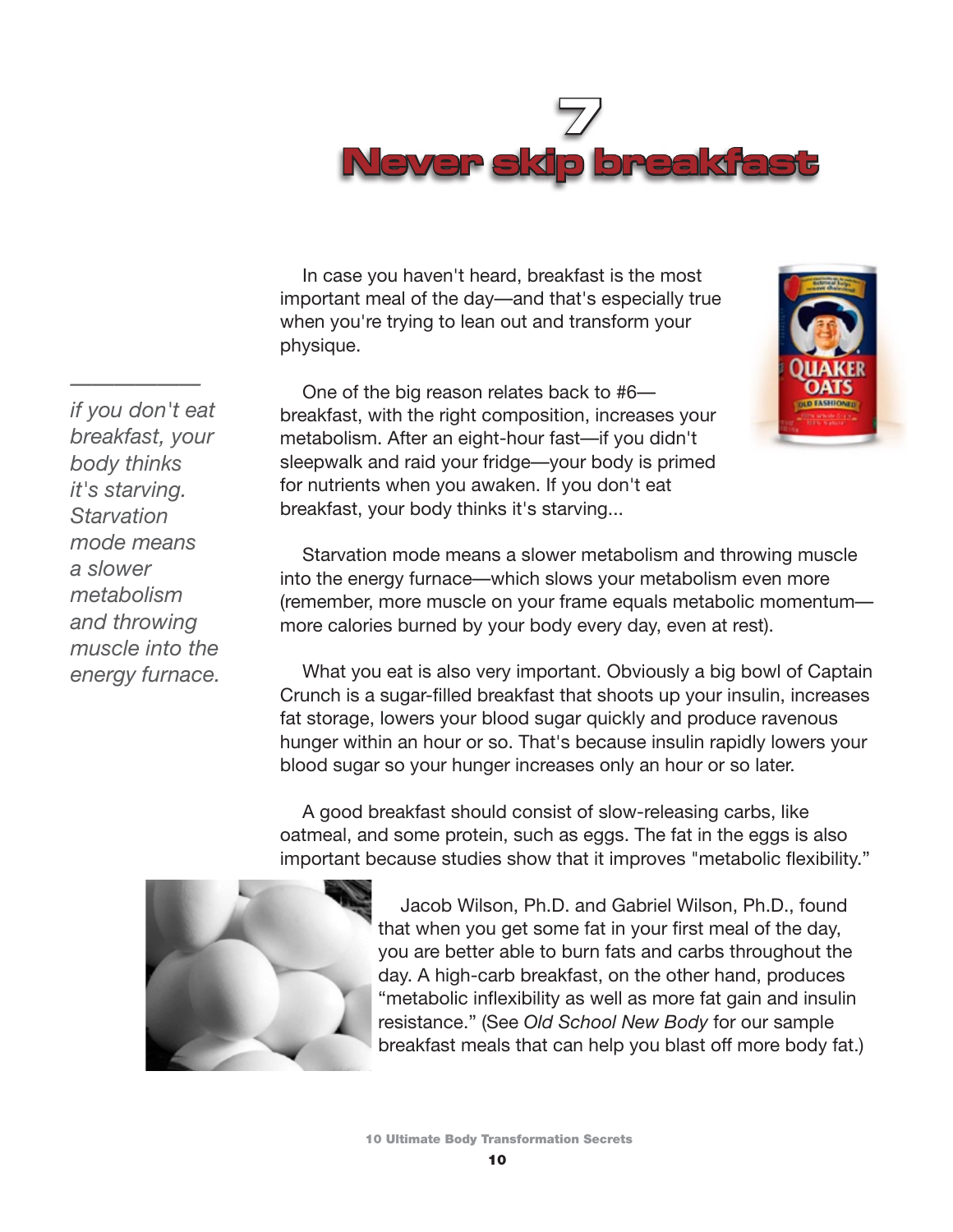

In case you haven't heard, breakfast is the most important meal of the day—and that's especially true when you're trying to lean out and transform your physique.

One of the big reason relates back to #6 breakfast, with the right composition, increases your metabolism. After an eight-hour fast—if you didn't sleepwalk and raid your fridge—your body is primed for nutrients when you awaken. If you don't eat breakfast, your body thinks it's starving...



What you eat is also very important. Obviously a big bowl of Captain Crunch is a sugar-filled breakfast that shoots up your insulin, increases fat storage, lowers your blood sugar quickly and produce ravenous hunger within an hour or so. That's because insulin rapidly lowers your blood sugar so your hunger increases only an hour or so later.

A good breakfast should consist of slow-releasing carbs, like oatmeal, and some protein, such as eggs. The fat in the eggs is also important because studies show that it improves "metabolic flexibility."



Jacob Wilson, Ph.D. and Gabriel Wilson, Ph.D., found that when you get some fat in your first meal of the day, you are better able to burn fats and carbs throughout the day. A high-carb breakfast, on the other hand, produces "metabolic inflexibility as well as more fat gain and insulin resistance." (See *Old School New Body* for our sample breakfast meals that can help you blast off more body fat.)

*if you don't eat breakfast, your body thinks it's starving. Starvation mode means a slower metabolism and throwing muscle into the energy furnace.*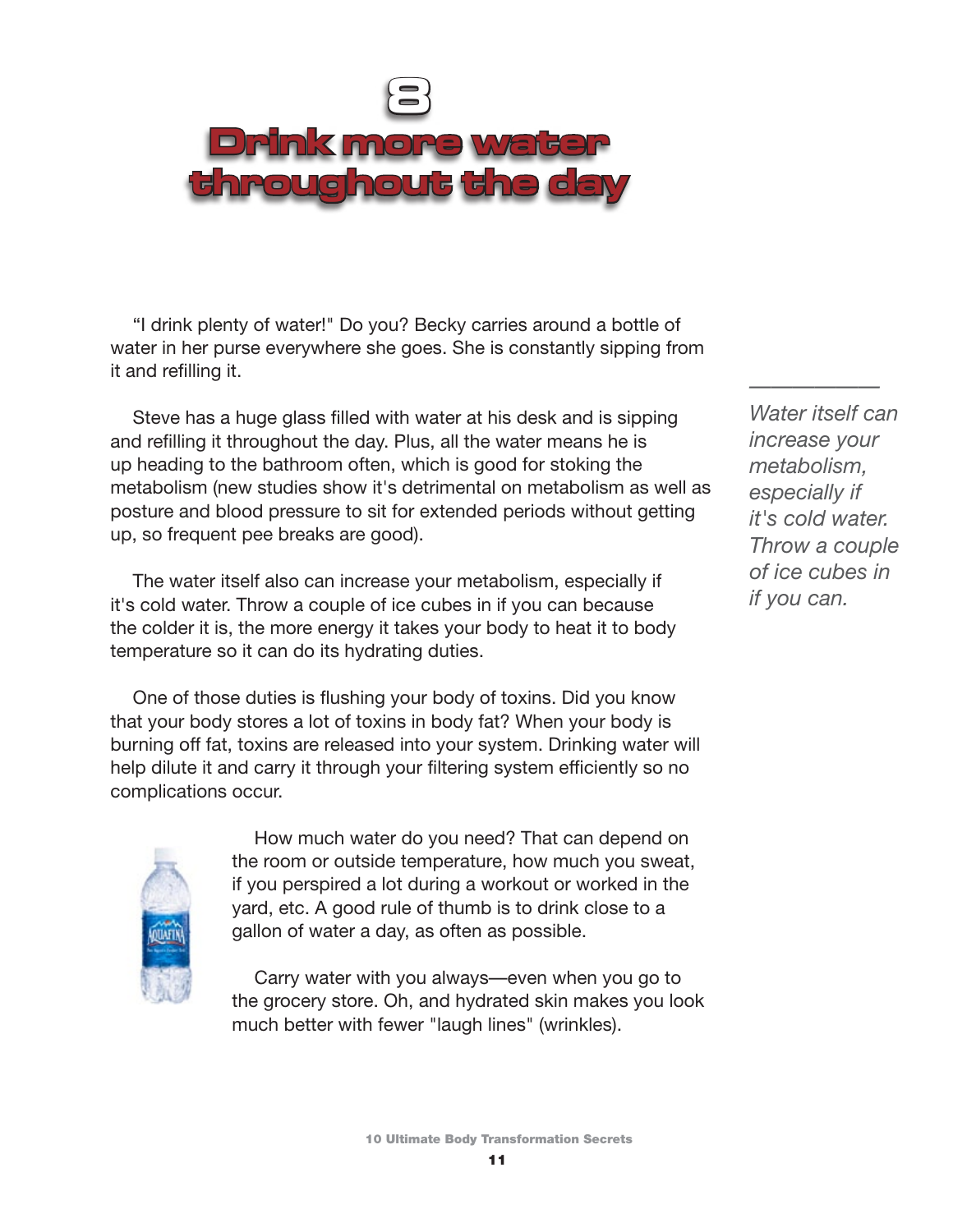

"I drink plenty of water!" Do you? Becky carries around a bottle of water in her purse everywhere she goes. She is constantly sipping from it and refilling it.

Steve has a huge glass filled with water at his desk and is sipping and refilling it throughout the day. Plus, all the water means he is up heading to the bathroom often, which is good for stoking the metabolism (new studies show it's detrimental on metabolism as well as posture and blood pressure to sit for extended periods without getting up, so frequent pee breaks are good).

The water itself also can increase your metabolism, especially if it's cold water. Throw a couple of ice cubes in if you can because the colder it is, the more energy it takes your body to heat it to body temperature so it can do its hydrating duties.

One of those duties is flushing your body of toxins. Did you know that your body stores a lot of toxins in body fat? When your body is burning off fat, toxins are released into your system. Drinking water will help dilute it and carry it through your filtering system efficiently so no complications occur.



How much water do you need? That can depend on the room or outside temperature, how much you sweat, if you perspired a lot during a workout or worked in the yard, etc. A good rule of thumb is to drink close to a gallon of water a day, as often as possible.

Carry water with you always—even when you go to the grocery store. Oh, and hydrated skin makes you look much better with fewer "laugh lines" (wrinkles).

*Water itself can increase your metabolism, especially if it's cold water. Throw a couple of ice cubes in if you can.*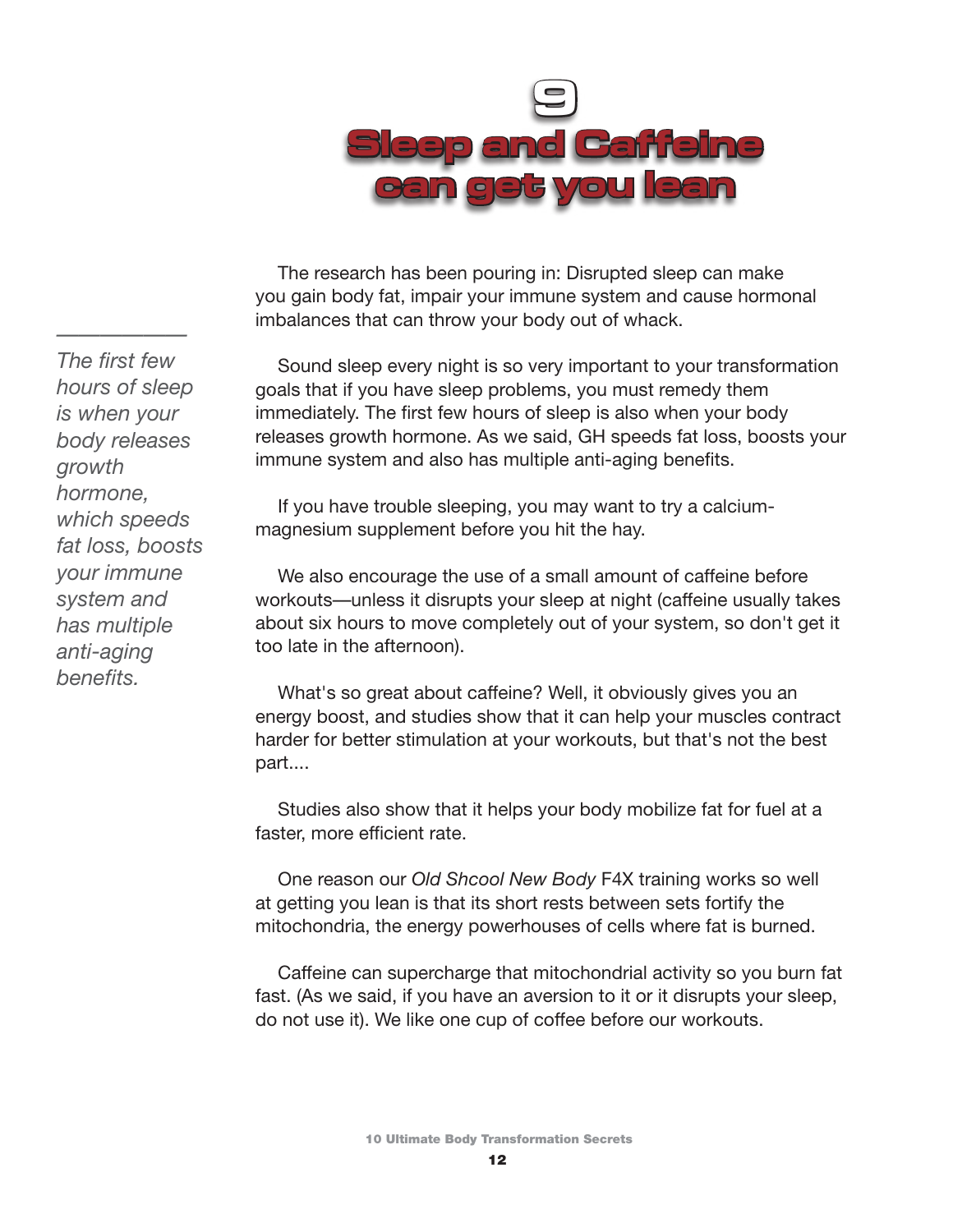

The research has been pouring in: Disrupted sleep can make you gain body fat, impair your immune system and cause hormonal imbalances that can throw your body out of whack.

Sound sleep every night is so very important to your transformation goals that if you have sleep problems, you must remedy them immediately. The first few hours of sleep is also when your body releases growth hormone. As we said, GH speeds fat loss, boosts your immune system and also has multiple anti-aging benefits.

If you have trouble sleeping, you may want to try a calciummagnesium supplement before you hit the hay.

We also encourage the use of a small amount of caffeine before workouts—unless it disrupts your sleep at night (caffeine usually takes about six hours to move completely out of your system, so don't get it too late in the afternoon).

What's so great about caffeine? Well, it obviously gives you an energy boost, and studies show that it can help your muscles contract harder for better stimulation at your workouts, but that's not the best part....

Studies also show that it helps your body mobilize fat for fuel at a faster, more efficient rate.

One reason our *Old Shcool New Body* F4X training works so well at getting you lean is that its short rests between sets fortify the mitochondria, the energy powerhouses of cells where fat is burned.

Caffeine can supercharge that mitochondrial activity so you burn fat fast. (As we said, if you have an aversion to it or it disrupts your sleep, do not use it). We like one cup of coffee before our workouts.

*The first few hours of sleep is when your body releases growth hormone, which speeds fat loss, boosts your immune system and has multiple anti-aging benefits.*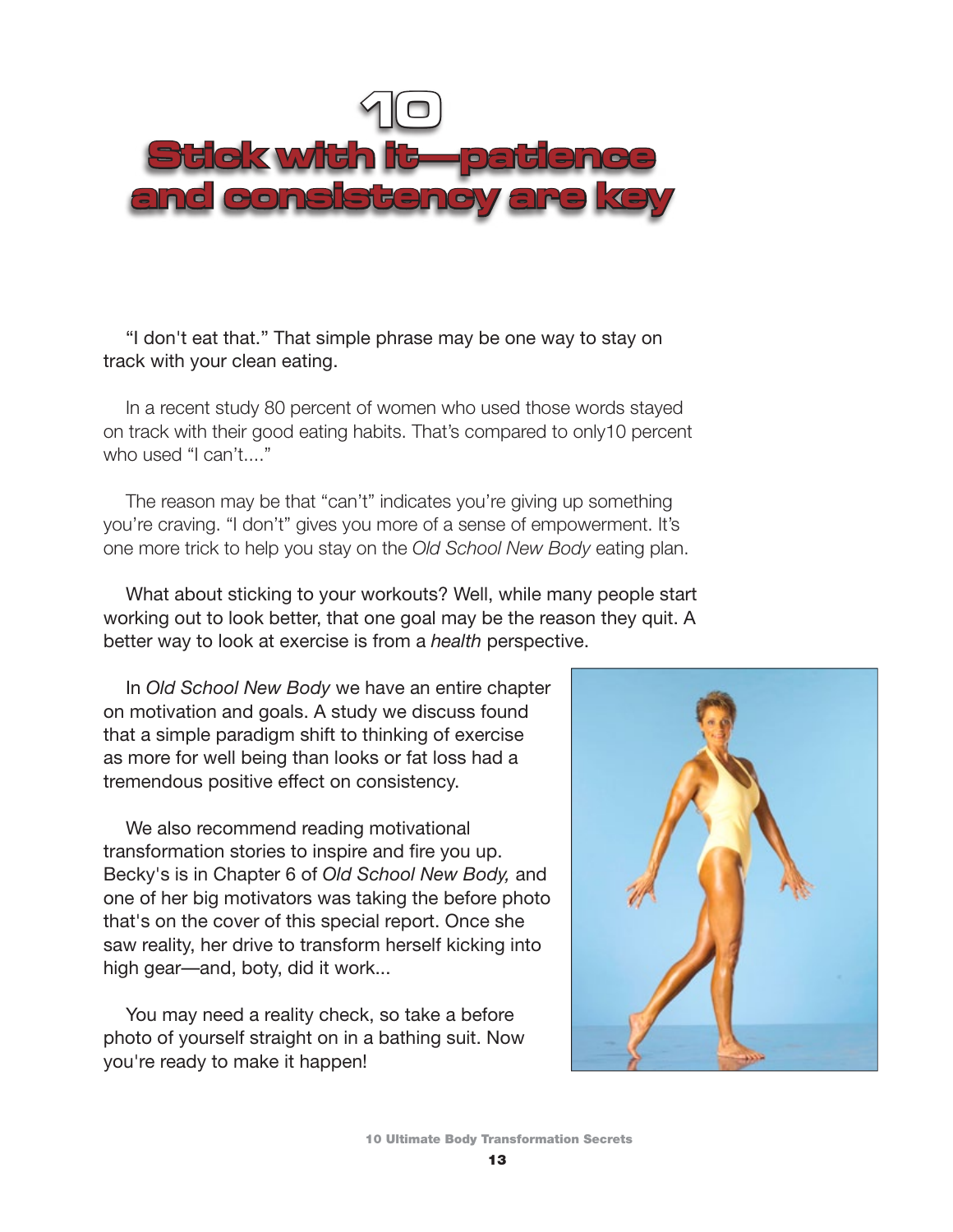

"I don't eat that." That simple phrase may be one way to stay on track with your clean eating.

In a recent study 80 percent of women who used those words stayed on track with their good eating habits. That's compared to only10 percent who used "I can't...."

The reason may be that "can't" indicates you're giving up something you're craving. "I don't" gives you more of a sense of empowerment. It's one more trick to help you stay on the *Old School New Body* eating plan.

What about sticking to your workouts? Well, while many people start working out to look better, that one goal may be the reason they quit. A better way to look at exercise is from a *health* perspective.

In *Old School New Body* we have an entire chapter on motivation and goals. A study we discuss found that a simple paradigm shift to thinking of exercise as more for well being than looks or fat loss had a tremendous positive effect on consistency.

We also recommend reading motivational transformation stories to inspire and fire you up. Becky's is in Chapter 6 of *Old School New Body,* and one of her big motivators was taking the before photo that's on the cover of this special report. Once she saw reality, her drive to transform herself kicking into high gear—and, boty, did it work...

You may need a reality check, so take a before photo of yourself straight on in a bathing suit. Now you're ready to make it happen!